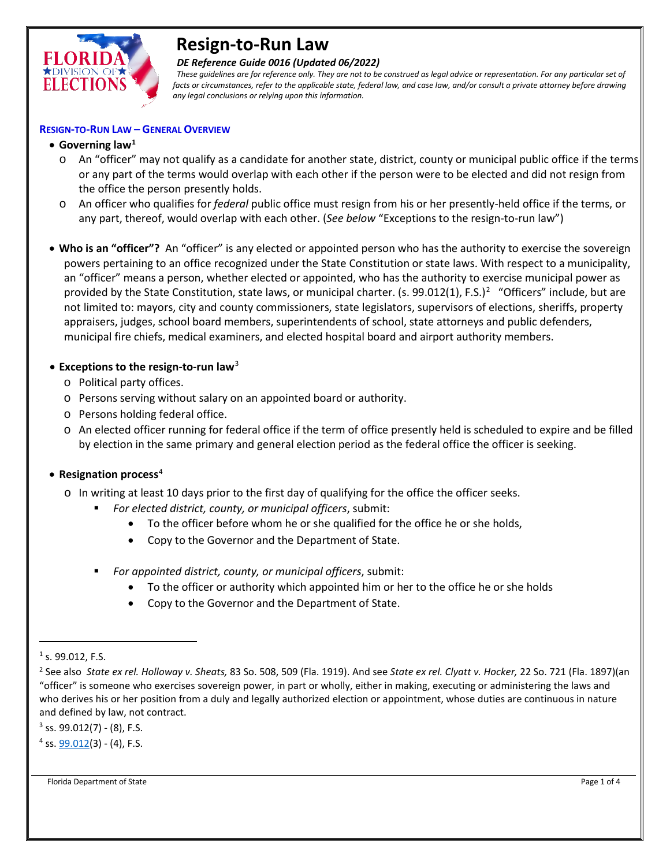

# **Resign-to-Run Law**

#### *DE Reference Guide 0016 (Updated 06/2022)*

 *These guidelines are for reference only. They are not to be construed as legal advice or representation. For any particular set of facts or circumstances, refer to the applicable state, federal law, and case law, and/or consult a private attorney before drawing any legal conclusions or relying upon this information.*

#### **RESIGN-TO-RUN LAW – GENERAL OVERVIEW**

# • **Governing law[1](#page-0-0)**

- o An "officer" may not qualify as a candidate for another state, district, county or municipal public office if the terms or any part of the terms would overlap with each other if the person were to be elected and did not resign from the office the person presently holds.
- o An officer who qualifies for *federal* public office must resign from his or her presently-held office if the terms, or any part, thereof, would overlap with each other. (*See below* "Exceptions to the resign-to-run law")
- **Who is an "officer"?** An "officer" is any elected or appointed person who has the authority to exercise the sovereign powers pertaining to an office recognized under the State Constitution or state laws. With respect to a municipality, an "officer" means a person, whether elected or appointed, who has the authority to exercise municipal power as provided by the State Constitution, state laws, or municipal charter. (s. 99.01[2](#page-0-1)(1), F.S.)<sup>2</sup> "Officers" include, but are not limited to: mayors, city and county commissioners, state legislators, supervisors of elections, sheriffs, property appraisers, judges, school board members, superintendents of school, state attorneys and public defenders, municipal fire chiefs, medical examiners, and elected hospital board and airport authority members.

## • **Exceptions to the resign-to-run law**[3](#page-0-2)

- o Political party offices.
- o Persons serving without salary on an appointed board or authority.
- o Persons holding federal office.
- o An elected officer running for federal office if the term of office presently held is scheduled to expire and be filled by election in the same primary and general election period as the federal office the officer is seeking.

#### • **Resignation process**[4](#page-0-3)

- o In writing at least 10 days prior to the first day of qualifying for the office the officer seeks.
	- *For elected district, county, or municipal officers*, submit:
		- To the officer before whom he or she qualified for the office he or she holds,
		- Copy to the Governor and the Department of State.
	- *For appointed district, county, or municipal officers*, submit:
		- To the officer or authority which appointed him or her to the office he or she holds
		- Copy to the Governor and the Department of State.

l

<span id="page-0-2"></span> $3$  ss. 99.012(7) - (8), F.S.

<span id="page-0-3"></span> $4$  ss.  $99.012(3) - (4)$ , F.S.

Florida Department of State Page 1 of 4

<span id="page-0-0"></span> $1$  s. 99.012, F.S.

<span id="page-0-1"></span><sup>2</sup> See also *State ex rel. Holloway v. Sheats,* 83 So. 508, 509 (Fla. 1919). And see *State ex rel. Clyatt v. Hocker,* 22 So. 721 (Fla. 1897)(an "officer" is someone who exercises sovereign power, in part or wholly, either in making, executing or administering the laws and who derives his or her position from a duly and legally authorized election or appointment, whose duties are continuous in nature and defined by law, not contract.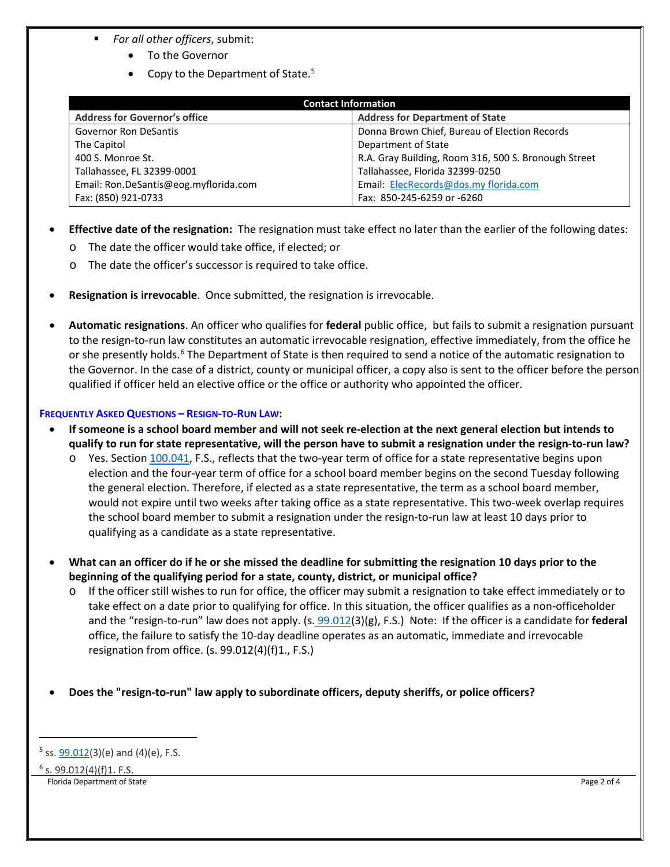- *For all other officers*, submit:
	- To the Governor
	- Copy to the Department of State[.5](#page-1-0)

| <b>Contact Information</b>            |                                                      |
|---------------------------------------|------------------------------------------------------|
| <b>Address for Governor's office</b>  | <b>Address for Department of State</b>               |
| <b>Governor Ron DeSantis</b>          | Donna Brown Chief, Bureau of Election Records        |
| The Capitol                           | Department of State                                  |
| 400 S. Monroe St.                     | R.A. Gray Building, Room 316, 500 S. Bronough Street |
| Tallahassee, FL 32399-0001            | Tallahassee, Florida 32399-0250                      |
| Email: Ron.DeSantis@eog.myflorida.com | Email: ElecRecords@dos.my florida.com                |
| Fax: (850) 921-0733                   | Fax: 850-245-6259 or -6260                           |

- **Effective date of the resignation:** The resignation must take effect no later than the earlier of the following dates:
	- o The date the officer would take office, if elected; or
	- o The date the officer's successor is required to take office.
- **Resignation is irrevocable**. Once submitted, the resignation is irrevocable.
- **Automatic resignations**. An officer who qualifies for **federal** public office, but fails to submit a resignation pursuant to the resign-to-run law constitutes an automatic irrevocable resignation, effective immediately, from the office he or she presently holds.<sup>[6](#page-1-1)</sup> The Department of State is then required to send a notice of the automatic resignation to the Governor. In the case of a district, county or municipal officer, a copy also is sent to the officer before the person qualified if officer held an elective office or the office or authority who appointed the officer.

### **FREQUENTLY ASKED QUESTIONS – RESIGN-TO-RUN LAW:**

- **If someone is a school board member and will not seek re-election at the next general election but intends to qualify to run for state representative, will the person have to submit a resignation under the resign-to-run law?**
	- $\circ$  Yes. Section [100.041,](http://www.leg.state.fl.us/statutes/index.cfm?mode=View%20Statutes&SubMenu=1&App_mode=Display_Statute&Search_String=100.041&URL=0100-0199/0100/Sections/0100.041.html) F.S., reflects that the two-year term of office for a state representative begins upon election and the four-year term of office for a school board member begins on the second Tuesday following the general election. Therefore, if elected as a state representative, the term as a school board member, would not expire until two weeks after taking office as a state representative. This two-week overlap requires the school board member to submit a resignation under the resign-to-run law at least 10 days prior to qualifying as a candidate as a state representative.
- **What can an officer do if he or she missed the deadline for submitting the resignation 10 days prior to the beginning of the qualifying period for a state, county, district, or municipal office?**
	- $\circ$  If the officer still wishes to run for office, the officer may submit a resignation to take effect immediately or to take effect on a date prior to qualifying for office. In this situation, the officer qualifies as a non-officeholder and the "resign-to-run" law does not apply. (s. [99.012\(](http://www.leg.state.fl.us/statutes/index.cfm?mode=View%20Statutes&SubMenu=1&App_mode=Display_Statute&Search_String=99.012&URL=0000-0099/0099/Sections/0099.012.html)3)(g), F.S.) Note: If the officer is a candidate for **federal**  office, the failure to satisfy the 10-day deadline operates as an automatic, immediate and irrevocable resignation from office. (s. 99.012(4)(f)1., F.S.)

# • **Does the "resign-to-run" law apply to subordinate officers, deputy sheriffs, or police officers?**

```
6 s. 99.012(4)(f)1. F.S.
```
 $\overline{\phantom{a}}$ 

Florida Department of State Page 2 of 4

<span id="page-1-0"></span> $5$  ss.  $99.012(3)(e)$  and  $(4)(e)$ , F.S.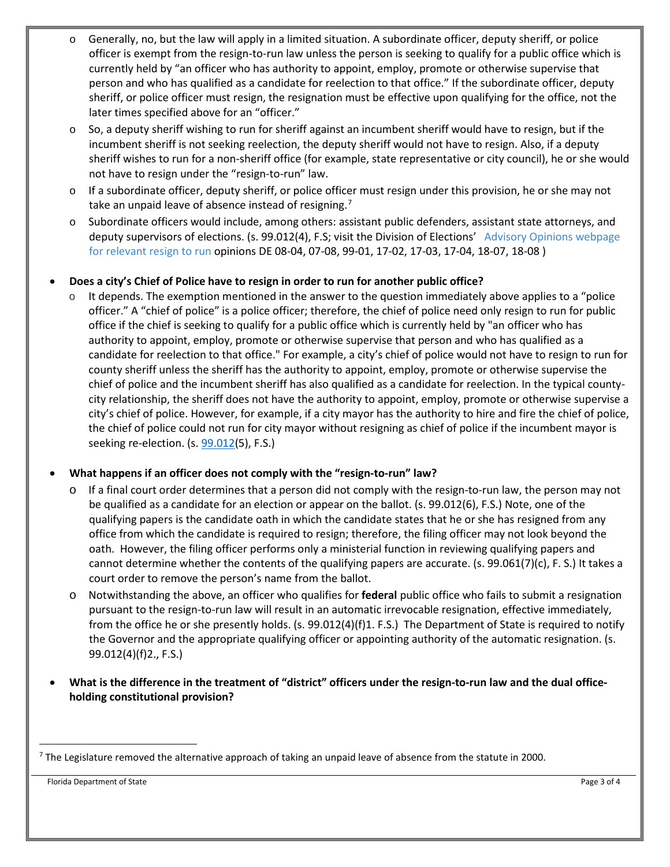- $\circ$  Generally, no, but the law will apply in a limited situation. A subordinate officer, deputy sheriff, or police officer is exempt from the resign-to-run law unless the person is seeking to qualify for a public office which is currently held by "an officer who has authority to appoint, employ, promote or otherwise supervise that person and who has qualified as a candidate for reelection to that office." If the subordinate officer, deputy sheriff, or police officer must resign, the resignation must be effective upon qualifying for the office, not the later times specified above for an "officer."
- $\circ$  So, a deputy sheriff wishing to run for sheriff against an incumbent sheriff would have to resign, but if the incumbent sheriff is not seeking reelection, the deputy sheriff would not have to resign. Also, if a deputy sheriff wishes to run for a non-sheriff office (for example, state representative or city council), he or she would not have to resign under the "resign-to-run" law.
- $\circ$  If a subordinate officer, deputy sheriff, or police officer must resign under this provision, he or she may not take an unpaid leave of absence instead of resigning.<sup>[7](#page-2-0)</sup>
- o Subordinate officers would include, among others: assistant public defenders, assistant state attorneys, and deputy supervisors of elections. (s. 99.012(4), F.S; visit the Division of Elections' [Advisory Opinions webpage](http://dos.myflorida.com/elections/laws-rules/advisory-opinions/) for relevant resign to run opinions DE 08-04, 07-08, 99-01, 17-02, 17-03, 17-04, 18-07, 18-08 )

### • **Does a city's Chief of Police have to resign in order to run for another public office?**

 $\circ$  It depends. The exemption mentioned in the answer to the question immediately above applies to a "police officer." A "chief of police" is a police officer; therefore, the chief of police need only resign to run for public office if the chief is seeking to qualify for a public office which is currently held by "an officer who has authority to appoint, employ, promote or otherwise supervise that person and who has qualified as a candidate for reelection to that office." For example, a city's chief of police would not have to resign to run for county sheriff unless the sheriff has the authority to appoint, employ, promote or otherwise supervise the chief of police and the incumbent sheriff has also qualified as a candidate for reelection. In the typical countycity relationship, the sheriff does not have the authority to appoint, employ, promote or otherwise supervise a city's chief of police. However, for example, if a city mayor has the authority to hire and fire the chief of police, the chief of police could not run for city mayor without resigning as chief of police if the incumbent mayor is seeking re-election. (s. [99.012\(](http://www.leg.state.fl.us/statutes/index.cfm?mode=View%20Statutes&SubMenu=1&App_mode=Display_Statute&Search_String=99.012&URL=0000-0099/0099/Sections/0099.012.html)5), F.S.)

# • **What happens if an officer does not comply with the "resign-to-run" law?**

- If a final court order determines that a person did not comply with the resign-to-run law, the person may not be qualified as a candidate for an election or appear on the ballot. (s. 99.012(6), F.S.) Note, one of the qualifying papers is the candidate oath in which the candidate states that he or she has resigned from any office from which the candidate is required to resign; therefore, the filing officer may not look beyond the oath. However, the filing officer performs only a ministerial function in reviewing qualifying papers and cannot determine whether the contents of the qualifying papers are accurate. (s. 99.061(7)(c), F. S.) It takes a court order to remove the person's name from the ballot.
- o Notwithstanding the above, an officer who qualifies for **federal** public office who fails to submit a resignation pursuant to the resign-to-run law will result in an automatic irrevocable resignation, effective immediately, from the office he or she presently holds. (s. 99.012(4)(f)1. F.S.) The Department of State is required to notify the Governor and the appropriate qualifying officer or appointing authority of the automatic resignation. (s. 99.012(4)(f)2., F.S.)
- **What is the difference in the treatment of "district" officers under the resign-to-run law and the dual officeholding constitutional provision?**

<span id="page-2-0"></span> $7$  The Legislature removed the alternative approach of taking an unpaid leave of absence from the statute in 2000.

Florida Department of State Page 3 of 4